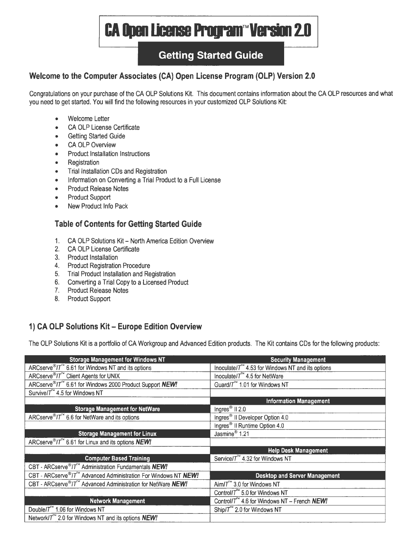# **CA Open License Program™Version 2.0**

# **Getting Started Guide**

# **Welcome to the Computer Associates (CA) Open License Program (OLP) Version 2.0**

Congratulations on your purchase of the CA OLP Solutions Kit. This document contains information about the CA OLP resources and what you need to get started. You will find the following resources in your customized OLP Solutions Kit:

- Welcome Letter
- CA OLP License Certificate
- Getting Started Guide
- CA OLP Overview
- Product Installation Instructions
- Registration
- Trial Installation CDs and Registration
- Information on Converting a Trial Product to a Full License
- Product Release Notes
- Product Support
- New Product Info Pack

# **Table of Contents for Getting Started Guide**

- 1. CA OLP Solutions Kit - North America Edition Overview
- 2. CA OLP License Certificate
- 3. Product Installation
- 4. Product Registration Procedure
- 5. Trial Product Installation and Registration
- 6. Converting a Trial Copy to a Licensed Product
- 7. Product Release Notes
- 8. Product Support

# **1) CA OLP Solutions Kit- Europe Edition Overview**

The OLP Solutions Kit is a portfolio of CA Workgroup and Advanced Edition products. The Kit contains CDs for the following products:

| <b>Storage Management for Windows NT</b>                                         | <b>Security Management</b>                                        |
|----------------------------------------------------------------------------------|-------------------------------------------------------------------|
| ARCserve <sup>®</sup> /T <sup>™</sup> 6.61 for Windows NT and its options        | Inoculate/ $T^{\prime\prime}$ 4.53 for Windows NT and its options |
| ARCserve <sup>®</sup> /T <sup>™</sup> Client Agents for UNIX                     | Inoculate/ $T^{\prime\prime}$ 4.5 for NetWare                     |
| ARCserve <sup>®</sup> /T <sup>™</sup> 6.61 for Windows 2000 Product Support NEW! | Guard/ $T^{\prime\prime}$ 1.01 for Windows NT                     |
| Survivel $T^{\infty}$ 4.5 for Windows NT                                         |                                                                   |
|                                                                                  | <b>Information Management</b>                                     |
| <b>Storage Management for NetWare</b>                                            | Ingres $^{\circledR}$ II 2.0                                      |
| ARCserve <sup>®</sup> / $T^{\prime\prime}$ 6.6 for NetWare and its options       | Ingres <sup>®</sup> II Developer Option 4.0                       |
|                                                                                  | Ingres <sup>®</sup> II Runtime Option 4.0                         |
| <b>Storage Management for Linux</b>                                              | Jasmine <sup>®</sup> 1.21                                         |
| ARCserve <sup>®</sup> /T <sup>™</sup> 6.61 for Linux and its options <b>NEW!</b> |                                                                   |
|                                                                                  | <b>Help Desk Management</b>                                       |
| <b>Computer Based Training</b>                                                   | Service/T <sup>**</sup> 4.32 for Windows NT                       |
| CBT - ARCserve®/T <sup>™</sup> Administration Fundamentals NEW!                  |                                                                   |
| CBT - ARCserve®/T <sup>™</sup> Advanced Administration For Windows NT NEW!       | Desktop and Server Management                                     |
| CBT - ARCserve®/T <sup>™</sup> Advanced Administration for NetWare NEW!          | Aim/ $T^{\prime\prime\prime}$ 3.0 for Windows NT                  |
|                                                                                  | Control/ $T^{\prime\prime}$ 5.0 for Windows NT                    |
| <b>Network Management</b>                                                        | Control/ $T^{\infty}$ 4.6 for Windows NT - French <b>NEW!</b>     |
| Double/ $T^M$ 1.06 for Windows NT                                                | Ship/ $T^{\prime\prime}$ 2.0 for Windows NT                       |
| Network/ $T^{\prime\prime}$ 2.0 for Windows NT and its options <b>NEW!</b>       |                                                                   |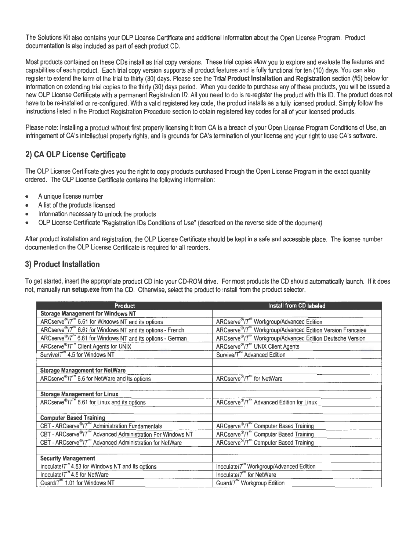The Solutions Kit also contains your OLP License Certificate and additional information about the Open License Program. Product documentation is also included as part of each product CD.

Most products contained on these CDs install as trial copy versions. These trial copies allow you to explore and evaluate the features and capabilities of each product. Each trial copy version supports all product features and is fully functional for ten (10) days. You can also register to extend the term of the trial to thirty (30) days. Please see the **Trial Product Installation and Registration** section (#5) below for information on extending trial copies to the thirty (30) days period. When you decide to purchase any of these products, you will be issued a new OLP License Certificate with a permanent Registration ID. All you need to do is re-register the product with this ID. The product does not have to be re-installed or re-configured. With a valid registered key code, the product installs as a fully licensed product. Simply follow the instructions listed in the Product Registration Procedure section to obtain registered key codes for all of your licensed products.

Please note: Installing a product without first properly licensing it from CA is a breach of your Open License Program Conditions of Use, an infringement of CA's intellectual property rights, and is grounds for CA's termination of your license and your right to use CA's software.

# **2) CA OLP License Certificate**

The OLP License Certificate gives you the right to copy products purchased through the Open License Program in the exact quantity ordered. The OLP License Certificate contains the following information:

- A unique license number
- A list of the products licensed
- Information necessary to unlock the products
- OLP License Certificate "Registration IDs Conditions of Use" (described on the reverse side of the document)

After product installation and registration, the OLP License Certificate should be kept in a safe and accessible place. The license number documented on the OLP License Certificate is required for all reorders.

## **3) Product Installation**

To get started, insert the appropriate product CD into your CD-ROM drive. For most products the CD should automatically launch. If it does not, manually run **setup.axe** from the CD. Otherwise, select the product to install from the product selector.

| Product                                                                            | Install from CD labeled                                               |
|------------------------------------------------------------------------------------|-----------------------------------------------------------------------|
| <b>Storage Management for Windows NT</b>                                           |                                                                       |
| ARCserve <sup>®</sup> /T <sup>™</sup> 6.61 for Windows NT and its options          | ARCserve®/T <sup>™</sup> Workgroup/Advanced Edition                   |
| ARCserve®IT <sup>™</sup> 6.61 for Windows NT and its options - French              | ARCserve®/7 <sup>™</sup> Workgroup/Advanced Edition Version Francaise |
| ARCserve <sup>®</sup> /7 <sup>™</sup> 6.61 for Windows NT and its options - German | ARCserve®/T <sup>™</sup> Workgroup/Advanced Edition Deutsche Version  |
| ARCserve <sup>®</sup> /7 <sup>™</sup> Client Agents for UNIX                       | ARCserve®/7 <sup>7</sup> UNIX Client Agents                           |
| Survive/T <sup>74</sup> 4.5 for Windows NT                                         | Survive/T <sup>™</sup> Advanced Edition                               |
|                                                                                    |                                                                       |
| <b>Storage Management for NetWare</b>                                              |                                                                       |
| ARCserve <sup>®</sup> IT <sup>™</sup> 6.6 for NetWare and its options              | ARCserve <sup>®</sup> /T <sup>™</sup> for NetWare                     |
|                                                                                    |                                                                       |
| <b>Storage Management for Linux</b>                                                |                                                                       |
| ARCserve <sup>®</sup> /7 <sup>™</sup> 6.61 for Linux and its options               | ARCserve <sup>®</sup> /7 <sup>™</sup> Advanced Edition for Linux      |
|                                                                                    |                                                                       |
| <b>Computer Based Training</b>                                                     |                                                                       |
| CBT - ARCserve®/T <sup>™</sup> Administration Fundamentals                         | ARCserve®/T <sup>™</sup> Computer Based Training                      |
| CBT - ARCserve®/T <sup>™</sup> Advanced Administration For Windows NT              | ARCserve <sup>®</sup> /T <sup>™</sup> Computer Based Training         |
| CBT - ARCserve <sup>®</sup> /T <sup>™</sup> Advanced Administration for NetWare    | ARCserve <sup>®</sup> /T <sup>™</sup> Computer Based Training         |
|                                                                                    |                                                                       |
| <b>Security Management</b>                                                         |                                                                       |
| Inoculate/ $T^{\infty}$ 4.53 for Windows NT and its options                        | Inoculate/T <sup>™</sup> Workgroup/Advanced Edition                   |
| Inoculate/ $T^{\prime\prime}$ 4.5 for NetWare                                      | Inoculate/ $T^{\prime\prime}$ for NetWare                             |
| Guard/T <sup>™</sup> 1.01 for Windows NT                                           | Guard/T <sup>™</sup> Workgroup Edition                                |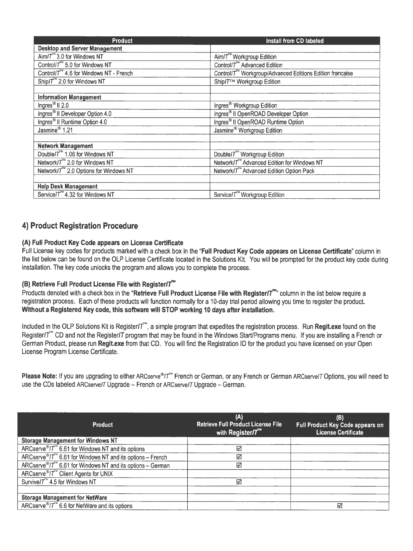| <b>Product</b>                                      | Install from CD labeled                                               |
|-----------------------------------------------------|-----------------------------------------------------------------------|
| <b>Desktop and Server Management</b>                |                                                                       |
| Aim/ $T^{\prime\prime}$ 3.0 for Windows NT          | Aim/T <sup>™</sup> Workgroup Edition                                  |
| Control/ $T^M$ 5.0 for Windows NT                   | Control/T <sup>™</sup> Advanced Edition                               |
| Control/T <sup>**</sup> 4.6 for Windows NT - French | Control/T <sup>**</sup> Workgroup/Advanced Editions Edition francaise |
| Ship/ $T^{N}$ 2.0 for Windows NT                    | Ship/T™ Workgroup Edition                                             |
|                                                     |                                                                       |
| <b>Information Management</b>                       |                                                                       |
| Ingres <sup>®</sup> II 2.0                          | Ingres <sup>®</sup> Workgroup Edition                                 |
| Ingres <sup>®</sup> II Developer Option 4.0         | Ingres <sup>®</sup> II OpenROAD Developer Option                      |
| Ingres <sup>®</sup> Il Runtime Option 4.0           | Ingres <sup>®</sup> II OpenROAD Runtime Option                        |
| Jasmine <sup>®</sup> 1.21                           | Jasmine <sup>®</sup> Workgroup Edition                                |
|                                                     |                                                                       |
| <b>Network Management</b>                           |                                                                       |
| Double/T <sup>™</sup> 1.06 for Windows NT           | Double/T <sup>™</sup> Workgroup Edition                               |
| Network/T <sup>TN</sup> 2.0 for Windows NT          | Network/T™ Advanced Edition for Windows NT                            |
| Network/T <sup>™</sup> 2.0 Options for Windows NT   | Network/T <sup>™</sup> Advanced Edition Option Pack                   |
|                                                     |                                                                       |
| <b>Help Desk Management</b>                         |                                                                       |
| Service/7 <sup>™</sup> 4.32 for Windows NT          | Service/T <sup>™</sup> Workgroup Edition                              |

# **4) Product Registration Procedure**

### **(A) Full Product Key Code appears on License Certificate**

Full License key codes for products marked with a check box in the **"Full Product Key Code appears on License Certificate"** column in the list below can be found on the OLP License Certificate located in the Solutions Kit. You will be prompted for the product key code during installation. The key code unlocks the program and allows you to complete the process.

## (B) Retrieve Full Product License File with Register/T<sup>™</sup>

Products denoted with a check box in the "Retrieve Full Product License File with Register/T<sup>24</sup>" column in the list below require a registration process. Each of these products will function normally for a 10-day trial period allowing you time to register the product. **Without a Registered Key code, this software will STOP working 10 days after installation.** 

Included in the OLP Solutions Kit is Register/ $T^{\prime\prime}$ , a simple program that expedites the registration process. Run **Regit.exe** found on the Register/ $T^{\prime\prime}$  CD and not the Register/T program that may be found in the Windows Start/Programs menu. If you are installing a French or German Product, please run **Regit.exe** from that CD. You will find the Registration ID for the product you have licensed on your Open License Program License Certificate.

Please Note: If you are upgrading to either ARCserve<sup>®</sup>/<sup>T"</sup> French or German, or any French or German ARCserve/T Options, you will need to use the CDs labeled ARCservelT Upgrade - French or ARCservelT Upgrade - German.

| <b>Product</b>                                                                          | (A)<br><b>Retrieve Full Product License File</b><br>with Register/ $T^{\prime\prime}$ | (B)<br>Full Product Key Code appears on<br><b>License Certificate</b> |
|-----------------------------------------------------------------------------------------|---------------------------------------------------------------------------------------|-----------------------------------------------------------------------|
| <b>Storage Management for Windows NT</b>                                                |                                                                                       |                                                                       |
| ARCserve <sup>®</sup> / $T^{\prime\prime}$ 6.61 for Windows NT and its options          | ☑                                                                                     |                                                                       |
| ARCserve <sup>®</sup> / $T^{\prime\prime}$ 6.61 for Windows NT and its options - French | $\triangledown$                                                                       |                                                                       |
| ARCserve®/T <sup>™</sup> 6.61 for Windows NT and its options - German                   | ☑                                                                                     |                                                                       |
| ARCserve <sup>®</sup> /T <sup>™</sup> Client Agents for UNIX                            |                                                                                       |                                                                       |
| Survive $T^{\infty}$ 4.5 for Windows NT                                                 | ☑                                                                                     |                                                                       |
|                                                                                         |                                                                                       |                                                                       |
| <b>Storage Management for NetWare</b>                                                   |                                                                                       |                                                                       |
| ARCserve <sup>®</sup> /T <sup>™</sup> 6.6 for NetWare and its options                   |                                                                                       | ∇                                                                     |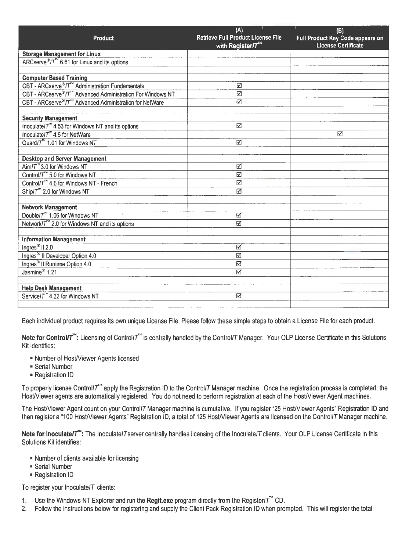| <b>Product</b>                                                                                             | (A)<br>Retrieve Full Product License File | (B)<br>Full Product Key Code appears on |
|------------------------------------------------------------------------------------------------------------|-------------------------------------------|-----------------------------------------|
|                                                                                                            | with Register/T <sup>**</sup>             | License Certificate                     |
| <b>Storage Management for Linux</b>                                                                        |                                           |                                         |
| $\widehat{ARCserve^{\circledast}/T}^{\sim} 6.61$ for Linux and its options                                 |                                           |                                         |
|                                                                                                            |                                           |                                         |
| <b>Computer Based Training</b>                                                                             |                                           |                                         |
| CBT - ARCserve <sup>®</sup> /7 <sup>™</sup> Administration Fundamentals                                    | ☑                                         |                                         |
| CBT - ARCserve <sup>®</sup> /T <sup>™</sup> Advanced Administration For Windows NT                         | ☑                                         |                                         |
| CBT - ARCserve <sup>®</sup> /T <sup>™</sup> Advanced Administration for NetWare                            | $\overline{\mathbf{M}}$                   |                                         |
|                                                                                                            |                                           |                                         |
| <b>Security Management</b>                                                                                 | M                                         |                                         |
| Inoculate/T <sup>**</sup> 4.53 for Windows NT and its options<br>Inoculate/ $T^{\text{M}}$ 4.5 for NetWare |                                           | M                                       |
|                                                                                                            |                                           |                                         |
| Guard/T <sup>™</sup> 1.01 for Windows NT                                                                   | M                                         |                                         |
| <b>Desktop and Server Management</b>                                                                       |                                           |                                         |
| Aim/ $T^{\prime\prime}$ 3.0 for Windows NT                                                                 | K                                         |                                         |
| Control/7 <sup>74</sup> 5.0 for Windows NT                                                                 | $\boxtimes$                               |                                         |
| Control/T <sup>™</sup> 4.6 for Windows NT - French                                                         | M                                         |                                         |
| Ship/ $T^{\infty}$ 2.0 for Windows NT                                                                      | ☑                                         |                                         |
|                                                                                                            |                                           |                                         |
| <b>Network Management</b>                                                                                  |                                           |                                         |
| Double/T <sup>™</sup> 1.06 for Windows NT                                                                  | ☑                                         |                                         |
| Network/T <sup>**</sup> 2.0 for Windows NT and its options                                                 | $\overline{\mathbb{M}}$                   |                                         |
|                                                                                                            |                                           |                                         |
| <b>Information Management</b>                                                                              |                                           |                                         |
| Ingres <sup>®</sup> II $2.0$                                                                               | ☑                                         |                                         |
| Ingres <sup>®</sup> II Developer Option 4.0                                                                | K                                         |                                         |
| Ingres <sup>®</sup> Il Runtime Option 4.0                                                                  | ☑                                         |                                         |
| Jasmine <sup>®</sup> 1.21                                                                                  | M                                         |                                         |
|                                                                                                            |                                           |                                         |
| <b>Help Desk Management</b>                                                                                |                                           |                                         |
| Service/T <sup>**</sup> 4.32 for Windows NT                                                                | $\triangledown$                           |                                         |
|                                                                                                            |                                           |                                         |

Each individual product requires its own unique License File. Please follow these simple steps to obtain a License File for each product.

Note for Control/T<sup>™</sup>: Licensing of Control/T<sup>™</sup> is centrally handled by the Control/T Manager. Your OLP License Certificate in this Solutions Kit identifies:

- Number of HosWiewer Agents licensed
- Serial Number
- Registration ID

To properly license Control/T<sup>264</sup> apply the Registration ID to the Control/T Manager machine. Once the registration process is completed, the Host/Viewer agents are automatically registered. You do not need to perform registration at each of the Host/Viewer Agent machines.

The Host/Viewer Agent count on your Control/T Manager machine is cumulative. If you register "25 Host/Viewer Agents" Registration ID and then register a "100 Host/Viewer Agents" Registration ID, a total of 125 Host/Viewer Agents are licensed on the Control/T Manager machine.

Note for Inoculate/ $T^*$ : The Inoculate/T server centrally handles licensing of the Inoculate/T clients. Your OLP License Certificate in this Solutions Kit identifies:

- Number of clients available for licensing
- Serial Number
- Registration ID

To register your lnoculate/T clients:

- 1. Use the Windows NT Explorer and run the **Regit.exe** program directly from the Register/ $T^{\prime\prime}$  CD.
- 2. Follow the instructions below for registering and supply the Client Pack Registration ID when prompted. This will register the total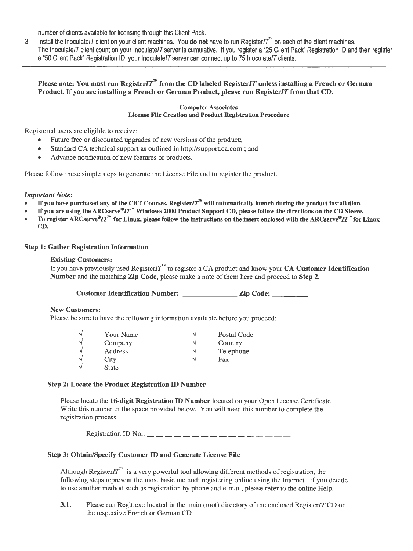number of clients available for licensing through this Client Pack.

- 3. Install the Inoculate/T client on your client machines. You do not have to run Register/ $T^M$  on each of the client machines.
- The Inoculate/ $T$  client count on your Inoculate/ $T$  server is cumulative. If you register a "25 Client Pack" Registration ID and then register a "50 Client Pack" Registration ID, your Inoculate/T server can connect up to 75 Inoculate/T clients.

### **Please note: You must run Register** *IT***<sup>** $n$ **</sup> from the CD labeled Register** *IT* **unless installing a French or German Product.** If **you are installing a French or German Product, please run Register/T from that CD.**

#### **Computer Associates License File Creation and Product Registration Procedure**

Registered users are eligible to receive:

- Future free or discounted upgrades of new versions of the product;
- Standard CA technical support as outlined in http://support.ca.com ; and
- Advance notification of new features or products.

Please follow these simple steps to generate the License File and to register the product.

#### *Important Note:*

- If you have purchased any of the CBT Courses, Register  $IT^M$  will automatically launch during the product installation.
- If you are using the ARCserve ${}^{\circ}I T^{\prime\prime}$  Windows 2000 Product Support CD, please follow the directions on the CD Sleeve.
- **To register ARCserve®IT"' for Linux, please follow the instructions on the insert enclosed with the ARCserve®IT"' for Linux CD.**

#### **Step 1: Gather Registration Information**

#### **Existing Customers:**

If you have previously used Register/ $T^*$  to register a CA product and know your **CA Customer Identification Number** and the matching **Zip Code,** please make a note of them here and proceed to **Step 2.** 

**Customer Identification Number:** \_\_\_\_\_\_\_ **Zip Code:** \_\_\_\_ \_

#### **New Customers:**

Please be sure to have the following information available before you proceed:

| $\overline{\phantom{a}}$ | Your Name      | ٦  | Postal Code |
|--------------------------|----------------|----|-------------|
| $\overline{\phantom{a}}$ | Company        | ٦  | Country     |
| $\overline{\phantom{a}}$ | <b>Address</b> | ۰  | Telephone   |
| $\overline{\phantom{a}}$ | City           | А. | Fax         |
| $\Delta$                 | <b>State</b>   |    |             |

#### **Step 2: Locate the Product Registration** ID **Number**

Please locate the **16-digit Registration** ID **Number** located on your Open License Certificate. Write this number in the space provided below. You will need this number to complete the registration process.

Registration ID No.: \_\_ \_ \_ \_ \_ \_ \_ \_ \_ \_ \_ \_ \_ \_ \_ \_ \_ \_

### **Step 3: Obtain/Specify Customer ID and Generate License File**

Although Register *IT*<sup> $\sim$ </sup> is a very powerful tool allowing different methods of registration, the following steps represent the most basic method: registering online using the Internet. If you decide to use another method such as registration by phone and e-mail, please refer to the online Help.

**3.1.** Please run Regit.exe located in the main (root) directory of the enclosed Register/T CD or the respective French or German CD.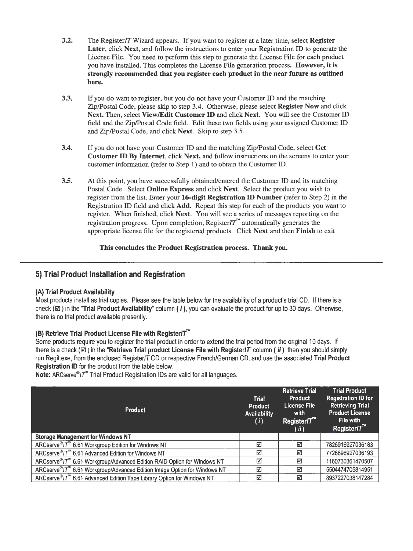- **3.2.** The Register *IT* Wizard appears. If you want to register at a later time, select **Register Later,** click **Next,** and follow the instructions to enter your Registration ID to generate the License File. You need to perform this step to generate the License File for each product you have installed. This completes the License File generation process. **However, it is strongly recommended that you register each product in the near future as outlined here.**
- **3.3.** If you do want to register, but you do not have your Customer ID and the matching Zip/Postal Code, please skip to step 3.4. Otherwise, please select **Register Now** and click **Next.** Then, select **View/Edit Customer** ID and click **Next.** You will see the Customer ID field and the Zip/Postal Code field. Edit these two fields using your assigned Customer ID and Zip/Postal Code, and click **Next.** Skip to step 3.5.
- **3.4.** If you do not have your Customer ID and the matching Zip/Postal Code, select **Get Customer** ID **By Internet,** click **Next,** and follow instructions on the screens to enter your customer information (refer to Step 1) and to obtain the Customer ID.
- **3.5.** At this point, you have successfully obtained/entered the Customer ID and its matching Postal Code. Select **Online Express** and click **Next.** Select the product you wish to register from the list. Enter your **16-digit Registration ID Number** (refer to Step 2) in the Registration ID field and click **Add.** Repeat this step for each of the products you want to register. When finished, click **Next.** You will see a series of messages reporting on the registration progress. Upon completion, Register $T^{\prime\prime}$  automatically generates the appropriate license file for the registered products. Click **Next** and then **Finish** to exit

### **This concludes the Product Registration process. Thank you.**

## **5) Trial Product Installation and Registration**

#### **(A) Trial Product Availability**

Most products install as trial copies. Please see the table below for the availability of a product's trial CD. If there is a check (0) in the **"Trial Product Availability"** column ( ; ), you can evaluate the product for up to 30 days. Otherwise, there is no trial product available presently.

### **(B) Retrieve Trial Product License File with Register//**

Some products require you to reqister the trial product in order to extend the trial period from the original 10 days. If there is a check ( $\boxtimes$ ) in the "Retrieve Trial product License File with Register/T" column (*ii*), then you should simply run Regit.exe, from the enclosed Register/T CD or respective French/German CD, and use the associated **Trial Product Registration ID** for the product from the table below.

**Note:** ARCserve<sup>®</sup>/T<sup>™</sup> Trial Product Registration IDs are valid for all languages.

| <b>Product</b>                                                                       | <b>Trial</b><br>Product<br><b>Availability</b><br>(i) | <b>Retrieve Trial</b><br><b>Product</b><br>License File<br>with<br>Register/ $T^*$<br>(ii) | <b>Trial Product</b><br><b>Registration ID for</b><br><b>Retrieving Trial</b><br><b>Product License</b><br>File with<br>Register/T |
|--------------------------------------------------------------------------------------|-------------------------------------------------------|--------------------------------------------------------------------------------------------|------------------------------------------------------------------------------------------------------------------------------------|
| <b>Storage Management for Windows NT</b>                                             |                                                       |                                                                                            |                                                                                                                                    |
| ARCserve <sup>®</sup> /T <sup>™</sup> 6.61 Workgroup Edition for Windows NT          | ☑                                                     | ⊠                                                                                          | 7826916927036183                                                                                                                   |
| ARCserve <sup>®</sup> /T <sup>™</sup> 6.61 Advanced Edition for Windows NT           | ☑                                                     | ⊠                                                                                          | 7726696927036193                                                                                                                   |
| ARCserve®/7 <sup>™</sup> 6.61 Workgroup/Advanced Edition RAID Option for Windows NT  | ☑                                                     | ☑                                                                                          | 1160730361470507                                                                                                                   |
| ARCserve®/T <sup>™</sup> 6.61 Workgroup/Advanced Edition Image Option for Windows NT | ☑                                                     | ☑                                                                                          | 5504474705814951                                                                                                                   |
| ARCserve®/T <sup>™</sup> 6.61 Advanced Edition Tape Library Option for Windows NT    | ☑                                                     | ⊠                                                                                          | 8937227038147284                                                                                                                   |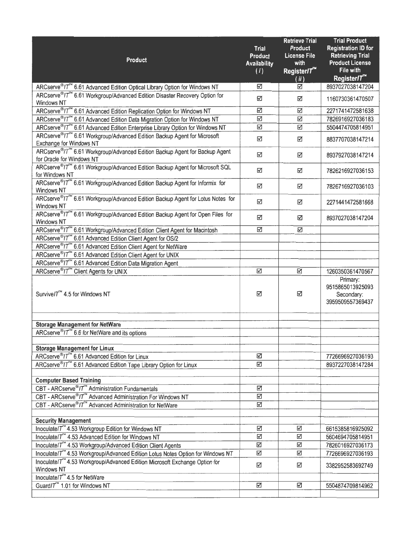| Product                                                                                                                     | <b>Trial</b><br><b>Product</b><br><b>Availability</b><br>(i) | <b>Retrieve Trial</b><br><b>Product</b><br><b>License File</b><br>with<br>Register/7" | <b>Trial Product</b><br><b>Registration ID for</b><br><b>Retrieving Trial</b><br><b>Product License</b><br>File with |
|-----------------------------------------------------------------------------------------------------------------------------|--------------------------------------------------------------|---------------------------------------------------------------------------------------|----------------------------------------------------------------------------------------------------------------------|
|                                                                                                                             |                                                              | (ii)                                                                                  | Register <sup>7</sup>                                                                                                |
| ARCserve <sup>®</sup> /T <sup>™</sup> 6.61 Advanced Edition Optical Library Option for Windows NT                           | ☑                                                            | ☑                                                                                     | 8937027038147204                                                                                                     |
| ARCserve®IT <sup>™</sup> 6.61 Workgroup/Advanced Edition Disaster Recovery Option for<br><b>Windows NT</b>                  | ☑                                                            | ☑                                                                                     | 1160730361470507                                                                                                     |
| ARCserve®/7 <sup>™</sup> 6.61 Advanced Edition Replication Option for Windows NT                                            | N                                                            | ☑                                                                                     | 2271741472581638                                                                                                     |
| ARCserve®/T <sup>™</sup> 6.61 Advanced Edition Data Migration Option for Windows NT                                         | ☑                                                            | ☑                                                                                     | 7826916927036183                                                                                                     |
| ARCserve®/T <sup>™</sup> 6.61 Advanced Edition Enterprise Library Option for Windows NT                                     | ☑                                                            | ☑                                                                                     | 5504474705814951                                                                                                     |
| ARCserve <sup>®</sup> /T <sup>™</sup> 6.61 Workgroup/Advanced Edition Backup Agent for Microsoft<br>Exchange for Windows NT | ☑                                                            | ☑                                                                                     | 8837707038147214                                                                                                     |
| ARCserve®/T <sup>™</sup> 6.61 Workgroup/Advanced Edition Backup Agent for Backup Agent<br>for Oracle for Windows NT         | ☑                                                            | ☑                                                                                     | 8937927038147214                                                                                                     |
| ARCserve <sup>®</sup> IT <sup>™</sup> 6.61 Workgroup/Advanced Edition Backup Agent for Microsoft SQL<br>for Windows NT      | ☑                                                            | ☑                                                                                     | 7826216927036153                                                                                                     |
| ARCserve®IT <sup>™</sup> 6.61 Workgroup/Advanced Edition Backup Agent for Informix for<br>Windows NT                        | ☑                                                            | ☑                                                                                     | 7826716927036103                                                                                                     |
| ARCserve®IT <sup>™</sup> 6.61 Workgroup/Advanced Edition Backup Agent for Lotus Notes for<br>Windows NT                     | ☑                                                            | ☑                                                                                     | 2271441472581668                                                                                                     |
| ARCserve®/T <sup>7*</sup> 6.61 Workgroup/Advanced Edition Backup Agent for Open Files for<br>Windows NT                     | ☑                                                            | ☑                                                                                     | 8937027038147204                                                                                                     |
| ARCserve <sup>®</sup> /7 <sup>™</sup> 6.61 Workgroup/Advanced Edition Client Agent for Macintosh                            | ☑                                                            | ☑                                                                                     |                                                                                                                      |
| ARCserve®/T <sup>™</sup> 6.61 Advanced Edition Client Agent for OS/2                                                        |                                                              |                                                                                       |                                                                                                                      |
| ARCserve®/T <sup>™</sup> 6.61 Advanced Edition Client Agent for NetWare                                                     |                                                              |                                                                                       |                                                                                                                      |
| ARCserve®/T <sup>™</sup> 6.61 Advanced Edition Client Agent for UNIX                                                        |                                                              |                                                                                       |                                                                                                                      |
| ARCserve®/7 <sup>7</sup> 6.61 Advanced Edition Data Migration Agent                                                         |                                                              |                                                                                       |                                                                                                                      |
| ARCserve <sup>®</sup> /T <sup>™</sup> Client Agents for UNIX                                                                | ☑                                                            | ☑                                                                                     | 1260350361470567                                                                                                     |
| Survive/T <sup>™</sup> 4.5 for Windows NT                                                                                   | ☑                                                            | ☑                                                                                     | Primary:<br>9515865013925093<br>Secondary:<br>3959509557369437                                                       |
| <b>Storage Management for NetWare</b>                                                                                       |                                                              |                                                                                       |                                                                                                                      |
| ARCserve <sup>®</sup> /T <sup>™</sup> 6.6 for NetWare and its options                                                       |                                                              |                                                                                       |                                                                                                                      |
|                                                                                                                             |                                                              |                                                                                       |                                                                                                                      |
| <b>Storage Management for Linux</b>                                                                                         |                                                              |                                                                                       |                                                                                                                      |
| ARCserve <sup>®</sup> /T <sup>74</sup> 6.61 Advanced Edition for Linux                                                      | ☑                                                            |                                                                                       | 7726696927036193                                                                                                     |
| ARCserve®/T™ 6.61 Advanced Edition Tape Library Option for Linux                                                            | $\triangledown$                                              |                                                                                       | 8937227038147284                                                                                                     |
|                                                                                                                             |                                                              |                                                                                       |                                                                                                                      |
| <b>Computer Based Training</b>                                                                                              |                                                              |                                                                                       |                                                                                                                      |
| CBT - ARCserve <sup>®</sup> /T <sup>™</sup> Administration Fundamentals                                                     | $\overline{\mathbb{S}}$                                      |                                                                                       |                                                                                                                      |
| CBT - ARCserve®/T <sup>™</sup> Advanced Administration For Windows NT                                                       | $\Delta$                                                     |                                                                                       |                                                                                                                      |
| CBT - ARCserve <sup>®</sup> /T <sup>™</sup> Advanced Administration for NetWare                                             | ☑                                                            |                                                                                       |                                                                                                                      |
| <b>Security Management</b>                                                                                                  |                                                              |                                                                                       |                                                                                                                      |
| Inoculate/T <sup>™</sup> 4.53 Workgroup Edition for Windows NT                                                              | ☑                                                            | ☑                                                                                     | 6615385816925092                                                                                                     |
| Inoculate/T <sup>™</sup> 4.53 Advanced Edition for Windows NT                                                               | ☑                                                            | ☑                                                                                     | 5604694705814951                                                                                                     |
| Inoculate/T <sup>™</sup> 4.53 Workgroup/Advanced Edition Client Agents                                                      | ☑                                                            | ☑                                                                                     | 7826016927036173                                                                                                     |
| Inoculate/ $\overline{T}^M$ 4.53 Workgroup/Advanced Edition Lotus Notes Option for Windows NT                               | ☑                                                            | ☑                                                                                     | 7726696927036193                                                                                                     |
| Inoculate/T <sup>™</sup> 4.53 Workgroup/Advanced Edition Microsoft Exchange Option for                                      |                                                              |                                                                                       |                                                                                                                      |
| Windows NT                                                                                                                  | ☑                                                            | ☑                                                                                     | 3382952583692749                                                                                                     |
| Inoculate/ $T^{\prime\prime}$ 4.5 for NetWare                                                                               | ☑                                                            | N                                                                                     |                                                                                                                      |
| Guard/T <sup>7</sup> 1.01 for Windows NT                                                                                    |                                                              |                                                                                       | 5504874709814962                                                                                                     |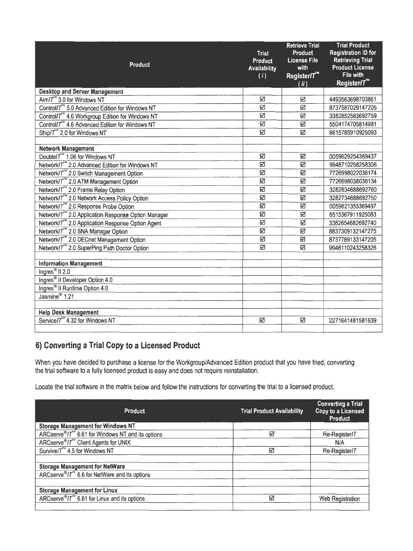|                                                                | Trial<br>Product        | <b>Retrieve Trial</b><br><b>Product</b><br><b>License File</b> | <b>Trial Product</b><br><b>Registration ID for</b><br><b>Retrieving Trial</b> |
|----------------------------------------------------------------|-------------------------|----------------------------------------------------------------|-------------------------------------------------------------------------------|
| <b>Product</b>                                                 | <b>Availability</b>     | with                                                           | <b>Product License</b>                                                        |
|                                                                | (i)                     | Register/T <sup>ne</sup>                                       | File with                                                                     |
|                                                                |                         | (ii)                                                           | Register/T <sup>n</sup>                                                       |
| <b>Desktop and Server Management</b>                           |                         |                                                                |                                                                               |
| Aim/ $T^{\prime\prime}$ 3.0 for Windows NT                     | Δ                       | K                                                              | 4493563698703861                                                              |
| Control/T <sup>™</sup> 5.0 Advanced Edition for Windows NT     | Ñ                       | N                                                              | 8737587029147205                                                              |
| Control/T <sup>™</sup> 4.6 Workgroup Edition for Windows NT    | Ñ                       | Ñ                                                              | 3382852583692759                                                              |
| Control/T <sup>™</sup> 4.6 Advanced Edition for Windows NT     | K                       | ☑                                                              | 5504174705814981                                                              |
| Ship/T <sup>7</sup> 2.0 for Windows NT                         | ☑                       | ☑                                                              | 6615785910925093                                                              |
|                                                                |                         |                                                                |                                                                               |
| <b>Network Management</b>                                      |                         |                                                                |                                                                               |
| Double/T <sup>™</sup> 1.06 for Windows NT                      | ☑                       | ☑                                                              | 0059629254369437                                                              |
| Network/T <sup>**</sup> 2.0 Advanced Edition for Windows NT    | ☑                       | ☑                                                              | 9948710258258306                                                              |
| Network/T <sup>™</sup> 2.0 Switch Management Option            | $\overline{\mathbb{S}}$ | ☑                                                              | 7726998022036174                                                              |
| Network/T <sup>™</sup> 2.0 ATM Management Option               | ☑                       | ☑                                                              | 7726698038036134                                                              |
| Network/T <sup>"</sup> 2.0 Frame Relay Option                  | ☑                       | ☑                                                              | 3282634688692760                                                              |
| Network/T <sup>™</sup> 2.0 Network Access Policy Option        | ☑                       | ☑                                                              | 3282734688692750                                                              |
| Network/T™ 2.0 Response Probe Option                           | ☑                       | $\triangledown$                                                | 0059621355369497                                                              |
| Network/T <sup>™</sup> 2.0 Application Response Option Manager | ☑                       | $\triangledown$                                                | 6515367911925083                                                              |
| Network/T <sup>™</sup> 2.0 Application Response Option Agent   | Ñ                       | ☑                                                              | 3382654682692740                                                              |
| Network/7 <sup>™</sup> 2.0 SNA Manager Option                  | ☑                       | ☑                                                              | 8837309132147275                                                              |
| Network/T <sup>™</sup> 2.0 DECnet Management Option            | $\overline{\mathbf{S}}$ | ☑                                                              | 8737789133147205                                                              |
| Network/T <sup>™</sup> 2.0 SuperPing Path Doctor Option        | ☑                       | ☑                                                              | 9948110243258326                                                              |
|                                                                |                         |                                                                |                                                                               |
| <b>Information Management</b>                                  |                         |                                                                |                                                                               |
| Ingres <sup>®</sup> II <sub>2.0</sub>                          |                         |                                                                |                                                                               |
| Ingres <sup>®</sup> II Developer Option 4.0                    |                         |                                                                |                                                                               |
| Ingres <sup>®</sup> Il Runtime Option 4.0                      |                         |                                                                |                                                                               |
| Jasmine <sup>®</sup> 1.21                                      |                         |                                                                |                                                                               |
|                                                                |                         |                                                                |                                                                               |
| <b>Help Desk Management</b>                                    |                         |                                                                |                                                                               |
| Service/T <sup>74</sup> 4.32 for Windows NT                    | N                       | ☑                                                              | 2271641481581639                                                              |
|                                                                |                         |                                                                |                                                                               |

# **6) Converting a Trial Copy to a Licensed Product**

When you have decided to purchase a license for the Workgroup/Advanced Edition product that you have tried, converting the trial software to a fully licensed product is easy and does not require reinstallation.

Locate the trial software in the matrix below and follow the instructions for converting the trial to a licensed product.

| <b>Product</b>                                                                 | <b>Trial Product Availability</b> | <b>Converting a Trial</b><br><b>Copy to a Licensed</b><br><b>Product</b> |
|--------------------------------------------------------------------------------|-----------------------------------|--------------------------------------------------------------------------|
| <b>Storage Management for Windows NT</b>                                       |                                   |                                                                          |
| ARCserve <sup>®</sup> / $T^{\prime\prime}$ 6.61 for Windows NT and its options | ☑                                 | Re-Register/T                                                            |
| ARCserve <sup>®</sup> /7 <sup>™</sup> Client Agents for UNIX                   |                                   | N/A                                                                      |
| Survive/T <sup>™</sup> 4.5 for Windows NT                                      | ☑                                 | Re-Register/T                                                            |
|                                                                                |                                   |                                                                          |
| <b>Storage Management for NetWare</b>                                          |                                   |                                                                          |
| ARCserve <sup>®</sup> / $T^{\infty}$ 6.6 for NetWare and its options           |                                   |                                                                          |
|                                                                                |                                   |                                                                          |
| <b>Storage Management for Linux</b>                                            |                                   |                                                                          |
| ARCserve <sup>®</sup> / $T^{\infty}$ 6.61 for Linux and its options            | ⊽                                 | <b>Web Registration</b>                                                  |
|                                                                                |                                   |                                                                          |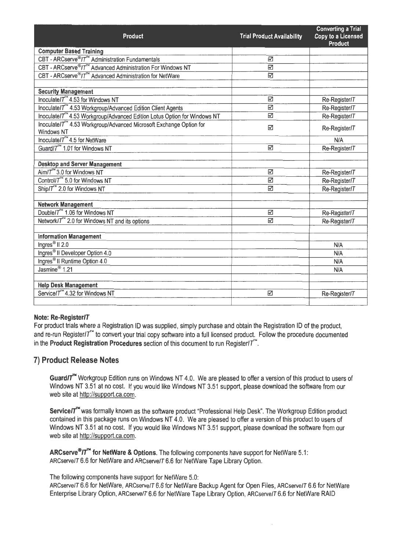|                                                                                      |                                   | <b>Converting a Trial</b> |
|--------------------------------------------------------------------------------------|-----------------------------------|---------------------------|
| Product                                                                              | <b>Trial Product Availability</b> | <b>Copy to a Licensed</b> |
| <b>Computer Based Training</b>                                                       |                                   | <b>Product</b>            |
| CBT - ARCserve <sup>®</sup> /7 <sup>™</sup> Administration Fundamentals              | ☑                                 |                           |
| CBT - ARCserve <sup>®</sup> /T <sup>™</sup> Advanced Administration For Windows NT   | ☑                                 |                           |
| CBT - ARCserve <sup>®</sup> /7 <sup>™</sup> Advanced Administration for NetWare      | ☑                                 |                           |
|                                                                                      |                                   |                           |
| <b>Security Management</b>                                                           |                                   |                           |
| Inoculate/ $T^M$ 4.53 for Windows NT                                                 | ☑                                 | Re-Register/T             |
| Inoculate/T <sup>™</sup> 4.53 Workgroup/Advanced Edition Client Agents               | ☑                                 | Re-Register/T             |
| Inoculate/T <sup>™</sup> 4.53 Workgroup/Advanced Edition Lotus Option for Windows NT | ☑                                 | Re-Register/T             |
| Inoculate/T <sup>26</sup> 4.53 Workgroup/Advanced Microsoft Exchange Option for      |                                   |                           |
| Windows NT                                                                           | ☑                                 | Re-Register/T             |
| Inoculate/ $T^M$ 4.5 for NetWare                                                     |                                   | N/A                       |
| Guard/T <sup>™</sup> 1.01 for Windows NT                                             | ☑                                 | Re-Register/T             |
|                                                                                      |                                   |                           |
| <b>Desktop and Server Management</b>                                                 |                                   |                           |
| Aim/T <sup>™</sup> 3.0 for Windows NT                                                | ☑                                 | Re-Register/T             |
| Control/T <sup>74</sup> 5.0 for Windows NT                                           | ⊠                                 | Re-Register/T             |
| Ship/7 <sup>™</sup> 2.0 for Windows NT                                               | $\triangledown$                   | Re-Register/T             |
|                                                                                      |                                   |                           |
| <b>Network Management</b>                                                            |                                   |                           |
| Double/7 <sup>™</sup> 1.06 for Windows NT                                            | ☑                                 | Re-Register/T             |
| Network/ $T^{\prime\prime}$ 2.0 for Windows NT and its options                       | М                                 | Re-Register/T             |
|                                                                                      |                                   |                           |
| <b>Information Management</b>                                                        |                                   |                           |
| Ingres <sup>®</sup> II $2.0$                                                         |                                   | N/A                       |
| Ingres <sup>®</sup> Il Developer Option 4.0                                          |                                   | N/A                       |
| Ingres <sup>®</sup> Il Runtime Option 4.0                                            |                                   | N/A                       |
| Jasmine <sup>®</sup> 1.21                                                            |                                   | N/A                       |
|                                                                                      |                                   |                           |
| <b>Help Desk Management</b>                                                          |                                   |                           |
| Service/7 <sup>-*</sup> 4.32 for Windows NT                                          | ☑                                 | Re-Register/T             |
|                                                                                      |                                   |                           |

#### **Note: Re-Register/T**

For product trials where a Registration ID was supplied, simply purchase and obtain the Registration ID of the product, and re-run Register/ $T^{\prime\prime}$  to convert your trial copy software into a full licensed product. Follow the procedure documented in the **Product Registration Procedures** section of this document to run Register//.

## 7) **Product Release Notes**

**Guard/t"** Workgroup Edition runs on Windows NT 4.0. We are pleased to offer a version of this product to users of Windows NT 3.51 at no cost. If you would like Windows NT 3.51 support, please download the software from our web site at http://support.ca.com.

Service/ $T^{\prime\prime}$  was formally known as the software product "Professional Help Desk". The Workgroup Edition product contained in this package runs on Windows NT 4.0. We are pleased to offer a version of this product to users of Windows NT 3.51 at no cost. If you would like Windows NT 3.51 support, please download the software from our web site at http://support.ca.com.

ARCserve<sup>®</sup>/T<sup>™</sup> for NetWare & Options. The following components have support for NetWare 5.1: ARCserve/T 6.6 for NetWare and ARCserve/T 6.6 for NetWare Tape Library Option.

The following components have support for NetWare 5.0:

ARCserve/T 6.6 for NetWare, ARCserve/T 6.6 for NetWare Backup Agent for Open Files, ARCserve/T 6.6 for NetWare Enterprise Library Option, ARCserve/T 6.6 for NetWare Tape Library Option, ARCserve/T 6.6 for NetWare RAID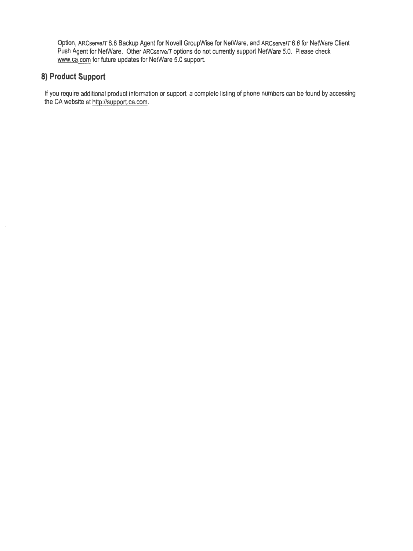Option, ARCserve/T 6.6 Backup Agent for Novell Group Wise for NetWare, and ARCserve/T 6.6 for NetWare Client Push Agent for NetWare. Other ARCserve/T options do not currently support NetWare 5.0. Please check www.ca.com for future updates for NetWare 5.0 support.

# **8) Product Support**

If you require additional product information or support, a complete listing of phone numbers can be found by accessing the CA website at http://support.ca.com.